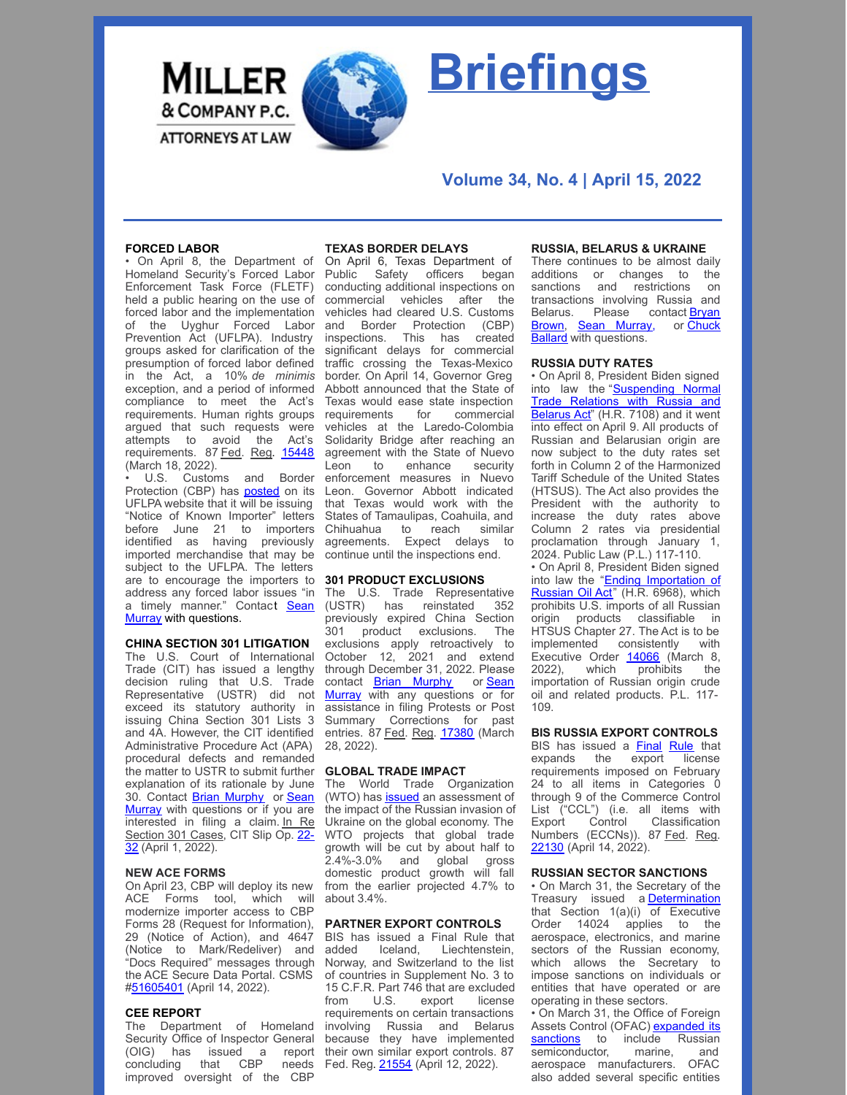

# **Briefings**

# **Volume 34, No. 4 | April 15, 2022**

# **FORCED LABOR**

• On April 8, the Department of Homeland Security's Forced Labor Enforcement Task Force (FLETF) held a public hearing on the use of forced labor and the implementation of the Uyghur Forced Labor Prevention Act (UFLPA). Industry groups asked for clarification of the presumption of forced labor defined in the Act, a 10% *de minimis* exception, and a period of informed compliance to meet the Act's requirements. Human rights groups argued that such requests were attempts to avoid the Act's requirements. 87 Fed. Reg. [15448](https://nam10.safelinks.protection.outlook.com/?url=https%3A%2F%2Fwww.govinfo.gov%2Fcontent%2Fpkg%2FFR-2022-03-18%2Fpdf%2F2022-05738.pdf&data=04%7C01%7CAwalker%40millerco.com%7C3be10608137a43ab621408da1e220aa7%7C73a168550ba84f79a774e89e3694b602%7C1%7C0%7C637855428804460535%7CUnknown%7CTWFpbGZsb3d8eyJWIjoiMC4wLjAwMDAiLCJQIjoiV2luMzIiLCJBTiI6Ik1haWwiLCJXVCI6Mn0%3D%7C3000&sdata=%2BSQPAnVPl88JfKKeRvp%2FBE%2FXY%2FtyV66MXY4XbxQk%2BjA%3D&reserved=0) (March 18, 2022).

U.S. Customs and Border Protection (CBP) has [posted](https://www.cbp.gov/trade/forced-labor/UFLPA) on its UFLPA website that it will be issuing "Notice of Known Importer" letters before June 21 to importers identified as having previously imported merchandise that may be subject to the UFLPA. The letters are to encourage the importers to address any forced labor issues "in a timely manner." Contact Sean Murray with [questions.](mailto:smurray@millerco.com)

# **CHINA SECTION 301 LITIGATION**

The U.S. Court of International Trade (CIT) has issued a lengthy decision ruling that U.S. Trade Representative (USTR) did not exceed its statutory authority in issuing China Section 301 Lists 3 and 4A. However, the CIT identified Administrative Procedure Act (APA) procedural defects and remanded the matter to USTR to submit further explanation of its rationale by June 30. Contact Brian [Murphy](mailto:bmurphy@millerco.com) or Sean Murray with [questions](mailto:smurray@millerco.com) or if you are interested in filing a claim. In Re [Section](https://nam10.safelinks.protection.outlook.com/?url=https%3A%2F%2Fwww.cit.uscourts.gov%2Fsites%2Fcit%2Ffiles%2F22-32.pdf&data=04%7C01%7CAwalker%40millerco.com%7C89d46fe92d8a46d3730208da1e53316e%7C73a168550ba84f79a774e89e3694b602%7C1%7C0%7C637855639904802465%7CUnknown%7CTWFpbGZsb3d8eyJWIjoiMC4wLjAwMDAiLCJQIjoiV2luMzIiLCJBTiI6Ik1haWwiLCJXVCI6Mn0%3D%7C3000&sdata=FxrVnUD0tbx56%2BBkaFQudXl2sXtKqMmULdV0viaFt44%3D&reserved=0) 301 Cases, CIT Slip Op. 22-32 (April 1, 2022).

# **NEW ACE FORMS**

On April 23, CBP will deploy its new ACE Forms tool, which will modernize importer access to CBP Forms 28 (Request for Information), 29 (Notice of Action), and 4647 (Notice to Mark/Redeliver) and "Docs Required" messages through the ACE Secure Data Portal. CSMS [#51605401](https://content.govdelivery.com/bulletins/gd/USDHSCBP-3136f99?wgt_ref=USDHSCBP_WIDGET_2) (April 14, 2022).

#### **CEE REPORT**

The Department of Homeland Security Office of Inspector General (OIG) has issued a report concluding that CBP needs improved oversight of the CBP

# **TEXAS BORDER DELAYS**

On April 6, Texas Department of Public Safety officers began conducting additional inspections on commercial vehicles after the vehicles had cleared U.S. Customs and Border Protection (CBP) inspections. This has created significant delays for commercial traffic crossing the Texas-Mexico border. On April 14, Governor Greg Abbott announced that the State of Texas would ease state inspection requirements for commercial vehicles at the Laredo-Colombia Solidarity Bridge after reaching an agreement with the State of Nuevo Leon to enhance security enforcement measures in Nuevo Leon. Governor Abbott indicated that Texas would work with the States of Tamaulipas, Coahuila, and Chihuahua to reach similar agreements. Expect delays to continue until the inspections end.

#### **301 PRODUCT EXCLUSIONS**

The U.S. Trade Representative (USTR) has reinstated 352 previously expired China Section 301 product exclusions. The exclusions apply retroactively to October 12, 2021 and extend through December 31, 2022. Please contact **Brian [Murphy](mailto:bmurphy@millerco.com)** or **Sean** Murray with any [questions](mailto:smurray@millerco.com) or for assistance in filing Protests or Post Summary Corrections for past entries. 87 Fed. Reg. [17380](https://nam10.safelinks.protection.outlook.com/?url=https%3A%2F%2Fwww.govinfo.gov%2Fcontent%2Fpkg%2FFR-2022-03-28%2Fpdf%2F2022-06397.pdf&data=04%7C01%7CAwalker%40millerco.com%7Cfdbc5658db1346c2c2ba08da1be2a669%7C73a168550ba84f79a774e89e3694b602%7C1%7C0%7C637852957511869100%7CUnknown%7CTWFpbGZsb3d8eyJWIjoiMC4wLjAwMDAiLCJQIjoiV2luMzIiLCJBTiI6Ik1haWwiLCJXVCI6Mn0%3D%7C3000&sdata=6E816k6N7b3AsVp0BTNeZJvPJhLSWvKuj1tTpwVXcoI%3D&reserved=0) (March 28, 2022).

# **GLOBAL TRADE IMPACT**

The World Trade Organization (WTO) has [issued](https://www.wto.org/english/res_e/booksp_e/imparctukraine422_e.pdf) an assessment of the impact of the Russian invasion of Ukraine on the global economy. The WTO projects that global trade growth will be cut by about half to 2.4%-3.0% and global gross domestic product growth will fall from the earlier projected 4.7% to about 3.4%.

# **PARTNER EXPORT CONTROLS**

BIS has issued a Final Rule that added Iceland, Liechtenstein, Norway, and Switzerland to the list of countries in Supplement No. 3 to 15 C.F.R. Part 746 that are excluded from U.S. export license requirements on certain transactions involving Russia and Belarus because they have implemented<br>their own similar export controls. 87 their own similar export controls. 87 Fed. Reg. [21554](https://nam10.safelinks.protection.outlook.com/?url=https%3A%2F%2Fwww.govinfo.gov%2Fcontent%2Fpkg%2FFR-2022-04-12%2Fpdf%2F2022-07836.pdf%3Futm_source%3Dfederalregister.gov%26utm_medium%3Demail%26utm_campaign%3Dsubscription%2Bmailing%2Blist&data=04%7C01%7CAwalker%40millerco.com%7Cb2b91c05279148c42d5d08da1cb4f44a%7C73a168550ba84f79a774e89e3694b602%7C1%7C0%7C637853860770270232%7CUnknown%7CTWFpbGZsb3d8eyJWIjoiMC4wLjAwMDAiLCJQIjoiV2luMzIiLCJBTiI6Ik1haWwiLCJXVCI6Mn0%3D%7C3000&sdata=bxAGo4XsbHb%2Fl7vUlpU%2BK%2F2%2BZ%2FdGsfIBLLWvVNLYiBw%3D&reserved=0) (April 12, 2022).

#### **RUSSIA, BELARUS & UKRAINE**

There continues to be almost daily additions or changes to the sanctions and restrictions on transactions involving Russia and [Belarus.](mailto:bbrown@millerco.com) Please contact **Bryan**<br>**Brown, Sean Murray, or Chuck** Brown, Sean [Murray](mailto:smurray@millerco.com), Ballard with [questions.](mailto:cballard@millerco.com)

# **RUSSIA DUTY RATES**

• On April 8, President Biden signed into law the ["Suspending](https://nam10.safelinks.protection.outlook.com/?url=https%3A%2F%2Fwww.congress.gov%2Fbill%2F117th-congress%2Fhouse-bill%2F7108%2Ftext%3Fformat%3Dtxt&data=04%7C01%7CAwalker%40millerco.com%7Cddc874699724479dca3108da1a3f00a4%7C73a168550ba84f79a774e89e3694b602%7C1%7C0%7C637851155138032459%7CUnknown%7CTWFpbGZsb3d8eyJWIjoiMC4wLjAwMDAiLCJQIjoiV2luMzIiLCJBTiI6Ik1haWwiLCJXVCI6Mn0%3D%7C3000&sdata=ECuWpN4iQ6fuI4%2BiONg05izy51DG3aa1%2FR8Wh%2BQBtu0%3D&reserved=0) Normal Trade Relations with Russia and Belarus Act" (H.R. 7108) and it went into effect on April 9. All products of Russian and Belarusian origin are now subject to the duty rates set forth in Column 2 of the Harmonized Tariff Schedule of the United States (HTSUS). The Act also provides the President with the authority to increase the duty rates above Column 2 rates via presidential proclamation through January 1, 2024. Public Law (P.L.) 117-110.

• On April 8, President Biden signed into law the "Ending [Importation](https://nam10.safelinks.protection.outlook.com/?url=https%3A%2F%2Fwww.congress.gov%2Fbill%2F117th-congress%2Fhouse-bill%2F6968%2Ftext&data=04%7C01%7CAwalker%40millerco.com%7Cddc874699724479dca3108da1a3f00a4%7C73a168550ba84f79a774e89e3694b602%7C1%7C0%7C637851155138032459%7CUnknown%7CTWFpbGZsb3d8eyJWIjoiMC4wLjAwMDAiLCJQIjoiV2luMzIiLCJBTiI6Ik1haWwiLCJXVCI6Mn0%3D%7C3000&sdata=YhE4dC0PmEHh4%2Bb3X2wsG2vxMsRtvysWFgZuQLGL%2FsM%3D&reserved=0) of Russian Oil Act" (H.R. 6968), which prohibits U.S. imports of all Russian origin products classifiable in HTSUS Chapter 27. The Act is to be implemented consistently with Executive Order [14066](https://nam10.safelinks.protection.outlook.com/?url=https%3A%2F%2Fhome.treasury.gov%2Fsystem%2Ffiles%2F126%2Feo_prohibitions_imports_investments.pdf&data=04%7C01%7CAwalker%40millerco.com%7Cddc874699724479dca3108da1a3f00a4%7C73a168550ba84f79a774e89e3694b602%7C1%7C0%7C637851155138032459%7CUnknown%7CTWFpbGZsb3d8eyJWIjoiMC4wLjAwMDAiLCJQIjoiV2luMzIiLCJBTiI6Ik1haWwiLCJXVCI6Mn0%3D%7C3000&sdata=QSZr3ZnTYJjr27OE5K1aP0nyYJFQEOqta2%2BdHUf0tJo%3D&reserved=0) (March 8, 2022), which prohibits the importation of Russian origin crude oil and related products. P.L. 117- 109.

#### **BIS RUSSIA EXPORT CONTROLS**

BIS has issued a **[Final](https://www.federalregister.gov/documents/2022/04/14/2022-07937/expansion-of-sanctions-against-russia-and-belarus-under-the-export-administration-regulations-ear) [Rule](https://www.federalregister.gov/documents/2022/04/14/2022-07937/expansion-of-sanctions-against-russia-and-belarus-under-the-export-administration-regulations-ear)** that expands the export license requirements imposed on February 24 to all items in Categories 0 through 9 of the Commerce Control List ("CCL") (i.e. all items with Export Control Numbers (ECCNs)). 87 Fed. Reg. [22130](https://www.federalregister.gov/documents/2022/04/14/2022-07937/expansion-of-sanctions-against-russia-and-belarus-under-the-export-administration-regulations-ear) (April 14, 2022).

#### **RUSSIAN SECTOR SANCTIONS**

• On March 31, the Secretary of the Treasury issued a **[Determination](https://home.treasury.gov/system/files/126/russia_harmful_determination_20220331.pdf)** that Section 1(a)(i) of [Executive](https://home.treasury.gov/system/files/126/russia_harmful_determination_20220331.pdf) Order 14024 applies to the aerospace, electronics, and marine sectors of the Russian economy, which allows the Secretary to impose sanctions on individuals or entities that have operated or are operating in these sectors.

• On March 31, the Office of Foreign Assets Control (OFAC) [expanded](https://nam10.safelinks.protection.outlook.com/?url=https%3A%2F%2Fhome.treasury.gov%2Fnews%2Fpress-releases%2Fjy0692&data=04%7C01%7CAwalker%40millerco.com%7Ce398f850eddb48621cc208da173aad77%7C73a168550ba84f79a774e89e3694b602%7C1%7C0%7C637847838049266873%7CUnknown%7CTWFpbGZsb3d8eyJWIjoiMC4wLjAwMDAiLCJQIjoiV2luMzIiLCJBTiI6Ik1haWwiLCJXVCI6Mn0%3D%7C3000&sdata=g6y%2BW9mmyPq9R373elYj1NyTYqxm8Oei88T%2Fme2%2Fd3k%3D&reserved=0) its sanctions to include Russian<br>semiconductor, marine, and semiconductor, aerospace manufacturers. OFAC also added several specific entities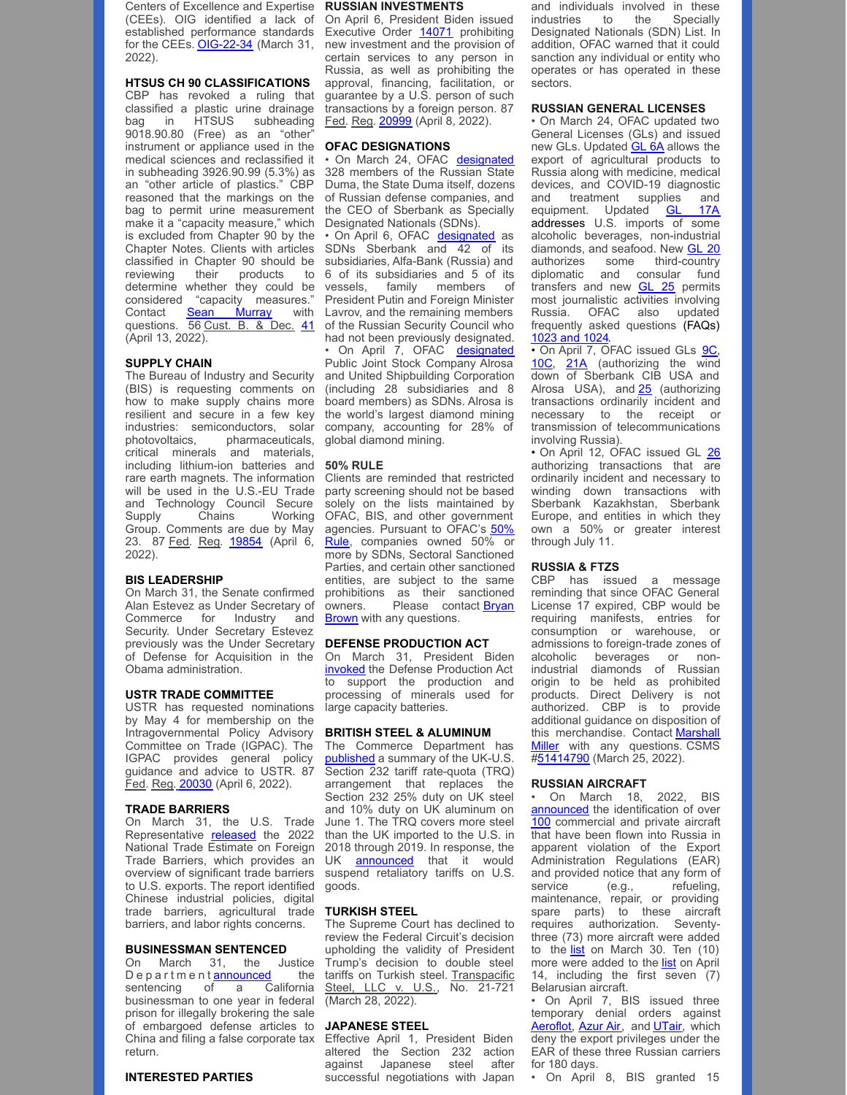Centers of Excellence and Expertise (CEEs). OIG identified a lack of established performance standards for the CEEs. **[OIG-22-34](https://www.oig.dhs.gov/sites/default/files/assets/2022-04/OIG-22-34-Mar22.pdf)** (March 31, new investment and the provision of 2022).

#### **HTSUS CH 90 CLASSIFICATIONS**

CBP has revoked a ruling that classified a plastic urine drainage bag in HTSUS subheading 9018.90.80 (Free) as an "other" instrument or appliance used in the medical sciences and reclassified it in subheading 3926.90.99 (5.3%) as an "other article of plastics." CBP reasoned that the markings on the bag to permit urine measurement make it a "capacity measure," which is excluded from Chapter 90 by the Chapter Notes. Clients with articles classified in Chapter 90 should be reviewing their products to determine whether they could be considered "capacity measures." Contact **Sean [Murray](mailto:smurray@millerco.com)** with questions. 56 Cust. B. & Dec. [41](https://millerco.com/sites/default/files/2022-04/Urine Bags.pdf) of the Russian Security Council who (April 13, 2022).

# **SUPPLY CHAIN**

The Bureau of Industry and Security (BIS) is requesting comments on how to make supply chains more resilient and secure in a few key industries: semiconductors, solar company, accounting for 28% of photovoltaics, pharmaceuticals, critical minerals and materials, including lithium-ion batteries and rare earth magnets. The information will be used in the U.S.-EU Trade and Technology Council Secure Supply Chains Working Group. Comments are due by May 23. 87 Fed. Reg. [19854](https://nam10.safelinks.protection.outlook.com/?url=https%3A%2F%2Fwww.govinfo.gov%2Fcontent%2Fpkg%2FFR-2022-04-06%2Fpdf%2F2022-07211.pdf%3Futm_source%3Dfederalregister.gov%26utm_medium%3Demail%26utm_campaign%3Dsubscription%2Bmailing%2Blist&data=04%7C01%7CAwalker%40millerco.com%7C0da56203598b49d0617208da1bd16991%7C73a168550ba84f79a774e89e3694b602%7C1%7C0%7C637852883476526045%7CUnknown%7CTWFpbGZsb3d8eyJWIjoiMC4wLjAwMDAiLCJQIjoiV2luMzIiLCJBTiI6Ik1haWwiLCJXVCI6Mn0%3D%7C3000&sdata=%2BYgOJX20cxiVm6uEh9QHOoorYmeJydit4VxFXipNBKk%3D&reserved=0) (April 6, 2022).

#### **BIS LEADERSHIP**

On March 31, the Senate confirmed Alan Estevez as Under Secretary of Commerce for Industry and Security. Under Secretary Estevez previously was the Under Secretary of Defense for Acquisition in the Obama administration.

#### **USTR TRADE COMMITTEE**

USTR has requested nominations by May 4 for membership on the Intragovernmental Policy Advisory Committee on Trade (IGPAC). The IGPAC provides general policy guidance and advice to USTR. 87 Fed. Reg[.](https://nam10.safelinks.protection.outlook.com/?url=https%3A%2F%2Fwww.govinfo.gov%2Fcontent%2Fpkg%2FFR-2022-04-06%2Fpdf%2F2022-07264.pdf&data=04%7C01%7CAwalker%40millerco.com%7Cba20565e67c34bb487e108da1bf51166%7C73a168550ba84f79a774e89e3694b602%7C1%7C0%7C637853036625464185%7CUnknown%7CTWFpbGZsb3d8eyJWIjoiMC4wLjAwMDAiLCJQIjoiV2luMzIiLCJBTiI6Ik1haWwiLCJXVCI6Mn0%3D%7C3000&sdata=85LsbyImqlQiMxO95%2BrnSVvToGwDTQ2pNLbMVko4cgc%3D&reserved=0) [20030](https://nam10.safelinks.protection.outlook.com/?url=https%3A%2F%2Fwww.govinfo.gov%2Fcontent%2Fpkg%2FFR-2022-04-06%2Fpdf%2F2022-07264.pdf&data=04%7C01%7CAwalker%40millerco.com%7Cba20565e67c34bb487e108da1bf51166%7C73a168550ba84f79a774e89e3694b602%7C1%7C0%7C637853036625464185%7CUnknown%7CTWFpbGZsb3d8eyJWIjoiMC4wLjAwMDAiLCJQIjoiV2luMzIiLCJBTiI6Ik1haWwiLCJXVCI6Mn0%3D%7C3000&sdata=85LsbyImqlQiMxO95%2BrnSVvToGwDTQ2pNLbMVko4cgc%3D&reserved=0) (April 6, 2022).

#### **TRADE BARRIERS**

On March 31, the U.S. Trade Representative [released](https://nam10.safelinks.protection.outlook.com/?url=https%3A%2F%2Fustr.gov%2Fabout-us%2Fpolicy-offices%2Fpress-office%2Fpress-releases%2F2022%2Fmarch%2Fustr-releases-2022-national-trade-estimate-report-foreign-trade-barriers&data=04%7C01%7CAwalker%40millerco.com%7Cfdbc5658db1346c2c2ba08da1be2a669%7C73a168550ba84f79a774e89e3694b602%7C1%7C0%7C637852957511869100%7CUnknown%7CTWFpbGZsb3d8eyJWIjoiMC4wLjAwMDAiLCJQIjoiV2luMzIiLCJBTiI6Ik1haWwiLCJXVCI6Mn0%3D%7C3000&sdata=ZExU%2FYWk1Q3flzFoYFVzrgdn9pJc7KrHuknx2JRZRtY%3D&reserved=0) the 2022 National Trade Estimate on Foreign Trade Barriers, which provides an overview of significant trade barriers to U.S. exports. The report identified Chinese industrial policies, digital trade barriers, agricultural trade barriers, and labor rights concerns.

# **BUSINESSMAN SENTENCED**

On March 31, the Justice<br>Departmentannounced the D e p a r t m e n t **[announced](https://nam10.safelinks.protection.outlook.com/?url=https%3A%2F%2Fwww.justice.gov%2Fusao-ndil%2Fpr%2Fsouthern-california-businessman-sentenced-year-federal-prison-illegally-brokering-sales&data=04%7C01%7CAwalker%40millerco.com%7Cfdbc5658db1346c2c2ba08da1be2a669%7C73a168550ba84f79a774e89e3694b602%7C1%7C0%7C637852957511869100%7CUnknown%7CTWFpbGZsb3d8eyJWIjoiMC4wLjAwMDAiLCJQIjoiV2luMzIiLCJBTiI6Ik1haWwiLCJXVCI6Mn0%3D%7C3000&sdata=PRdVYpjSh5Ln8SdzfSRaWeHK8tzvo3lyrVvWQnro4Hc%3D&reserved=0)**<br>sentencing of a C of a California businessman to one year in federal prison for illegally brokering the sale of embargoed defense articles to China and filing a false corporate tax return.

#### **INTERESTED PARTIES**

#### **RUSSIAN INVESTMENTS**

On April 6, President Biden issued [Executive](https://home.treasury.gov/system/files/126/russia_eo_20220406.pdf) Order [14071](https://home.treasury.gov/system/files/126/russia_eo_20220406.pdf) prohibiting certain services to any person in Russia, as well as prohibiting the approval, financing, facilitation, or guarantee by a U.S. person of such transactions by a foreign person. 87 Fed. Reg. [20999](https://www.federalregister.gov/documents/2022/04/08/2022-07757/prohibiting-new-investment-in-and-certain-services-to-the-russian-federation-in-response-to) (April 8, 2022).

#### **OFAC DESIGNATIONS**

• On March 24, OFAC [designated](https://home.treasury.gov/policy-issues/financial-sanctions/recent-actions/20220324) 328 members of the Russian State Duma, the State Duma itself, dozens of Russian defense companies, and the CEO of Sberbank as Specially Designated Nationals (SDNs). • On April 6, OFAC [designated](https://home.treasury.gov/news/press-releases/jy0705) as

SDNs Sberbank and 42 of its subsidiaries, Alfa-Bank (Russia) and 6 of its subsidiaries and 5 of its vessels, family members of President Putin and Foreign Minister Lavrov, and the remaining members had not been previously designated. • On April 7, OFAC [designated](https://home.treasury.gov/news/press-releases/jy0707) Public Joint Stock Company Alrosa and United Shipbuilding Corporation (including 28 subsidiaries and 8 board members) as SDNs. Alrosa is the world's largest diamond mining global diamond mining.

#### **50% RULE**

Clients are reminded that restricted party screening should not be based solely on the lists maintained by OFAC, BIS, and other government agencies. Pursuant to OFAC's 50% Rule, [companies](https://nam10.safelinks.protection.outlook.com/?url=https%3A%2F%2Fhome.treasury.gov%2Fsystem%2Ffiles%2F126%2Flicensing_guidance.pdf&data=04%7C01%7CAwalker%40millerco.com%7C1e110a005563406403b608da197f262f%7C73a168550ba84f79a774e89e3694b602%7C1%7C0%7C637850331144261185%7CUnknown%7CTWFpbGZsb3d8eyJWIjoiMC4wLjAwMDAiLCJQIjoiV2luMzIiLCJBTiI6Ik1haWwiLCJXVCI6Mn0%3D%7C3000&sdata=cNCpuAXtlj3ZGvYjXnS06f1VU2PpTZRmdTBjyTrIs3w%3D&reserved=0) owned 50% or more by SDNs, Sectoral Sanctioned Parties, and certain other sanctioned entities, are subject to the same prohibitions as their sanctioned owners. Please contact Bryan **Brown** with any [questions.](mailto:bbrown@millerco.com)

# **DEFENSE PRODUCTION ACT**

On March 31, President Biden [invoked](https://nam10.safelinks.protection.outlook.com/?url=https%3A%2F%2Fwww.whitehouse.gov%2Fbriefing-room%2Fstatements-releases%2F2022%2F03%2F31%2Ffact-sheet-president-bidens-plan-to-respond-to-putins-price-hike-at-the-pump%2F&data=04%7C01%7CAwalker%40millerco.com%7Cfdbc5658db1346c2c2ba08da1be2a669%7C73a168550ba84f79a774e89e3694b602%7C1%7C0%7C637852957511869100%7CUnknown%7CTWFpbGZsb3d8eyJWIjoiMC4wLjAwMDAiLCJQIjoiV2luMzIiLCJBTiI6Ik1haWwiLCJXVCI6Mn0%3D%7C3000&sdata=rqkb4l0DjGwTz%2Fcb6YXsHO1BXKT6ZRXEQWx3w%2Begn7o%3D&reserved=0) the Defense Production Act to support the production and processing of minerals used for large capacity batteries.

#### **BRITISH STEEL & ALUMINUM**

The Commerce Department has [published](https://nam10.safelinks.protection.outlook.com/?url=https%3A%2F%2Fwww.commerce.gov%2Fsites%2Fdefault%2Ffiles%2F2022-03%2FUK232-US-Statement.pdf&data=04%7C01%7CAwalker%40millerco.com%7Cfdbc5658db1346c2c2ba08da1be2a669%7C73a168550ba84f79a774e89e3694b602%7C1%7C0%7C637852957511869100%7CUnknown%7CTWFpbGZsb3d8eyJWIjoiMC4wLjAwMDAiLCJQIjoiV2luMzIiLCJBTiI6Ik1haWwiLCJXVCI6Mn0%3D%7C3000&sdata=aq%2Fe9XmF3pUKkXfT1Z3d7bQCtsG87gupHJgk2HDwiqI%3D&reserved=0) a summary of the UK-U.S. Section 232 tariff rate-quota (TRQ) arrangement that replaces the Section 232 25% duty on UK steel and 10% duty on UK aluminum on June 1. The TRQ covers more steel than the UK imported to the U.S. in 2018 through 2019. In response, the UK **[announced](https://nam10.safelinks.protection.outlook.com/?url=https%3A%2F%2Fwww.gov.uk%2Fgovernment%2Fnews%2Fsteel-and-aluminium-uk-announcement&data=04%7C01%7CAwalker%40millerco.com%7Cfdbc5658db1346c2c2ba08da1be2a669%7C73a168550ba84f79a774e89e3694b602%7C1%7C0%7C637852957511869100%7CUnknown%7CTWFpbGZsb3d8eyJWIjoiMC4wLjAwMDAiLCJQIjoiV2luMzIiLCJBTiI6Ik1haWwiLCJXVCI6Mn0%3D%7C3000&sdata=Vr0JMZl08eHWXH2dQo%2F96%2FA62Jb2OvcGeCSYHzRKB3E%3D&reserved=0)** that it would suspend retaliatory tariffs on U.S. goods.

# **TURKISH STEEL**

The Supreme Court has declined to review the Federal Circuit's decision upholding the validity of President Trump's decision to double steel tariffs on Turkish steel. Transpacific Steel, LLC v. U.S., No. 21-721 (March 28, 2022).

#### **JAPANESE STEEL**

Effective April 1, President Biden altered the Section 232 action against Japanese steel after successful negotiations with Japan and individuals involved in these industries to the Specially Designated Nationals (SDN) List. In addition, OFAC warned that it could sanction any individual or entity who operates or has operated in these sectors.

# **RUSSIAN GENERAL LICENSES**

• On March 24, OFAC updated two General Licenses (GLs) and issued new [GL](https://nam10.safelinks.protection.outlook.com/?url=https%3A%2F%2Fhome.treasury.gov%2Fsystem%2Ffiles%2F126%2Frussia_gl6a.pdf&data=04%7C01%7CAwalker%40millerco.com%7C557155c255ff4e62ea2508da1024d44e%7C73a168550ba84f79a774e89e3694b602%7C1%7C0%7C637840047614277395%7CUnknown%7CTWFpbGZsb3d8eyJWIjoiMC4wLjAwMDAiLCJQIjoiV2luMzIiLCJBTiI6Ik1haWwiLCJXVCI6Mn0%3D%7C3000&sdata=JV93MOiUG%2FrANz0oxhtuAE9kdUA5Oc1p%2BOmYCl%2BMc1E%3D&reserved=0)s. Updated **GL 6A** allows the export of agricultural products to Russia along with medicine, medical devices, and COVID-19 diagnostic and treatment supplies and equipment. Updated **GL [17A](https://nam10.safelinks.protection.outlook.com/?url=https%3A%2F%2Fhome.treasury.gov%2Fsystem%2Ffiles%2F126%2Frussia_gl17a.pdf&data=04%7C01%7CAwalker%40millerco.com%7C557155c255ff4e62ea2508da1024d44e%7C73a168550ba84f79a774e89e3694b602%7C1%7C0%7C637840047614433616%7CUnknown%7CTWFpbGZsb3d8eyJWIjoiMC4wLjAwMDAiLCJQIjoiV2luMzIiLCJBTiI6Ik1haWwiLCJXVCI6Mn0%3D%7C3000&sdata=dLekGuN9zxB2joBwfKO5Y6C9AU%2BDd5ryUo9ZbTAXC%2Fk%3D&reserved=0)** addresses U.S. imports of some alcoholic beverages, non-industrial diamonds, and seafood. New [GL](https://nam10.safelinks.protection.outlook.com/?url=https%3A%2F%2Fhome.treasury.gov%2Fsystem%2Ffiles%2F126%2Frussia_gl20.pdf&data=04%7C01%7CAwalker%40millerco.com%7C557155c255ff4e62ea2508da1024d44e%7C73a168550ba84f79a774e89e3694b602%7C1%7C0%7C637840047614433616%7CUnknown%7CTWFpbGZsb3d8eyJWIjoiMC4wLjAwMDAiLCJQIjoiV2luMzIiLCJBTiI6Ik1haWwiLCJXVCI6Mn0%3D%7C3000&sdata=qDmLy%2BnlqX8NW8xhHxSCzVT8Mpjk7b8x7tiqSWpw94M%3D&reserved=0) 20 authorizes some third-country diplomatic and consular fund transfers and new **[GL](https://nam10.safelinks.protection.outlook.com/?url=https%3A%2F%2Fhome.treasury.gov%2Fsystem%2Ffiles%2F126%2Fukraine_gl25.pdf&data=04%7C01%7CAwalker%40millerco.com%7C557155c255ff4e62ea2508da1024d44e%7C73a168550ba84f79a774e89e3694b602%7C1%7C0%7C637840047614433616%7CUnknown%7CTWFpbGZsb3d8eyJWIjoiMC4wLjAwMDAiLCJQIjoiV2luMzIiLCJBTiI6Ik1haWwiLCJXVCI6Mn0%3D%7C3000&sdata=KLSvDmJabQ7Dxm4tJRTJqIgultlVzxPpDp3NTl4tYjU%3D&reserved=0) 25** permits most journalistic activities involving Russia. OFAC also updated frequently asked questions (FAQs) [1023](https://nam10.safelinks.protection.outlook.com/?url=https%3A%2F%2Fhome.treasury.gov%2Fpolicy-issues%2Ffinancial-sanctions%2Ffaqs%2Fupdated%2F2022-03-24&data=04%7C01%7CAwalker%40millerco.com%7C557155c255ff4e62ea2508da1024d44e%7C73a168550ba84f79a774e89e3694b602%7C1%7C0%7C637840047614433616%7CUnknown%7CTWFpbGZsb3d8eyJWIjoiMC4wLjAwMDAiLCJQIjoiV2luMzIiLCJBTiI6Ik1haWwiLCJXVCI6Mn0%3D%7C3000&sdata=eha5v6ubXGG0yp84XLFRUZhPRscstVVywtSUDJjyLQw%3D&reserved=0) and 1024.

• On April 7, OFAC issued GLs [9C](https://home.treasury.gov/system/files/126/russia_gl9c.pdf), [10C](https://home.treasury.gov/system/files/126/russia_gl10c.pdf), [21A](https://home.treasury.gov/system/files/126/russia_gl21a.pdf) (authorizing the wind down of Sberbank CIB USA and Alrosa USA), and [25](https://home.treasury.gov/system/files/126/russia_gl25.pdf) (authorizing transactions ordinarily incident and necessary to the receipt or transmission of telecommunications involving Russia).

• On April 12, OFAC issued GL [26](https://nam10.safelinks.protection.outlook.com/?url=https%3A%2F%2Fhome.treasury.gov%2Fsystem%2Ffiles%2F126%2Frussia_gl26.pdf&data=04%7C01%7CAwalker%40millerco.com%7C16164883622c4d7ea73a08da1d629342%7C73a168550ba84f79a774e89e3694b602%7C1%7C0%7C637854606455399383%7CUnknown%7CTWFpbGZsb3d8eyJWIjoiMC4wLjAwMDAiLCJQIjoiV2luMzIiLCJBTiI6Ik1haWwiLCJXVCI6Mn0%3D%7C3000&sdata=%2BPE9vFb36Yd4glp45UfZSxXOUMi73P4hvIA6qZLZqD8%3D&reserved=0) authorizing transactions that are ordinarily incident and necessary to winding down transactions with Sberbank Kazakhstan, Sberbank Europe, and entities in which they own a 50% or greater interest through July 11.

# **RUSSIA & FTZS**

CBP has issued a message reminding that since OFAC General License 17 expired, CBP would be requiring manifests, entries for consumption or warehouse, or admissions to foreign-trade zones of alcoholic beverages or nonindustrial diamonds of Russian origin to be held as prohibited products. Direct Delivery is not authorized. CBP is to provide additional guidance on disposition of this [merchandise.](mailto:mmiller@millerco.com) Contact Marshall Miller with any questions. [CSMS](https://content.govdelivery.com/bulletins/gd/USDHSCBP-3108706?wgt_ref=USDHSCBP_WIDGET_2) [#51414790](https://content.govdelivery.com/bulletins/gd/USDHSCBP-3108706?wgt_ref=USDHSCBP_WIDGET_2) (March 25, 2022).

#### **RUSSIAN AIRCRAFT**

• On March 18, 2022, BIS [announced](https://nam10.safelinks.protection.outlook.com/?url=https%3A%2F%2Fwww.commerce.gov%2Fnews%2Fpress-releases%2F2022%2F03%2Fcommerce-department-identifies-commercial-and-private-aircraft-exported&data=04%7C01%7CAwalker%40millerco.com%7C369c91a3251b4b94885e08da1ee65306%7C73a168550ba84f79a774e89e3694b602%7C1%7C0%7C637856271840870065%7CUnknown%7CTWFpbGZsb3d8eyJWIjoiMC4wLjAwMDAiLCJQIjoiV2luMzIiLCJBTiI6Ik1haWwiLCJXVCI6Mn0%3D%7C3000&sdata=TstIb%2FYhymnnwOmgfP7I9naXOiN%2BfyXUT3pbqsnL1sU%3D&reserved=0) the identification of over [100](https://nam10.safelinks.protection.outlook.com/?url=https%3A%2F%2Fwww.bis.doc.gov%2Findex.php%2Fdocuments%2Fabout-bis%2Fnewsroom%2Fpress-releases%2F2936-2022-03-18-bis-list-of-commercial-and-private-aircraft-potential-ear-violations%2Ffile&data=04%7C01%7CAwalker%40millerco.com%7C369c91a3251b4b94885e08da1ee65306%7C73a168550ba84f79a774e89e3694b602%7C1%7C0%7C637856271840870065%7CUnknown%7CTWFpbGZsb3d8eyJWIjoiMC4wLjAwMDAiLCJQIjoiV2luMzIiLCJBTiI6Ik1haWwiLCJXVCI6Mn0%3D%7C3000&sdata=bMpafjZpcEDD2aOdlGJeKomtkNdcHgz%2F01jU%2Bt8mp7g%3D&reserved=0) commercial and private aircraft that have been flown into Russia in apparent violation of the Export Administration Regulations (EAR) and provided notice that any form of service (e.g., refueling, maintenance, repair, or providing spare parts) to these aircraft requires authorization. Seventythree (73) more aircraft were added to the [list](https://nam10.safelinks.protection.outlook.com/?url=https%3A%2F%2Fwww.bis.doc.gov%2Findex.php%2Fdocuments%2Fabout-bis%2Fnewsroom%2Fpress-releases%2F2943-2022-03-30-bis-list-of-commercial-and-private-aircraft-potential-ear-violations%2Ffile&data=04%7C01%7CAwalker%40millerco.com%7C369c91a3251b4b94885e08da1ee65306%7C73a168550ba84f79a774e89e3694b602%7C1%7C0%7C637856271840870065%7CUnknown%7CTWFpbGZsb3d8eyJWIjoiMC4wLjAwMDAiLCJQIjoiV2luMzIiLCJBTiI6Ik1haWwiLCJXVCI6Mn0%3D%7C3000&sdata=t7uZ0lnIYZEDSFvvIihjzpJbkmETcEvDuOrYobasuCU%3D&reserved=0) on March 30. Ten (10) more were added to the **[list](https://nam10.safelinks.protection.outlook.com/?url=https%3A%2F%2Fwww.bis.doc.gov%2Findex.php%2Fdocuments%2Fabout-bis%2Fnewsroom%2Fpress-releases%2F2964-2022-04-14-bis-list-of-commercial-and-private-aircraft-potential-ear-violations%2Ffile&data=04%7C01%7CAwalker%40millerco.com%7C369c91a3251b4b94885e08da1ee65306%7C73a168550ba84f79a774e89e3694b602%7C1%7C0%7C637856271840870065%7CUnknown%7CTWFpbGZsb3d8eyJWIjoiMC4wLjAwMDAiLCJQIjoiV2luMzIiLCJBTiI6Ik1haWwiLCJXVCI6Mn0%3D%7C3000&sdata=DS%2BUOiV%2FuT%2FugNd4MlyGS2wm%2BhBDwTxUAL3B%2FtF258w%3D&reserved=0)** on April 14, including the first seven (7) Belarusian aircraft.

• On April 7, BIS issued three temporary denial orders against [Aeroflot](https://efoia.bis.doc.gov/index.php/documents/export-violations/export-violations-2022/1365-e2717/file), [Azur](https://efoia.bis.doc.gov/index.php/documents/export-violations/export-violations-2022/1365-e2717/file) Air, and [UTair](https://efoia.bis.doc.gov/index.php/documents/export-violations/export-violations-2022/1366-e2718/file), which deny the export privileges under the EAR of these three Russian carriers for 180 days.

• On April 8, BIS granted 15